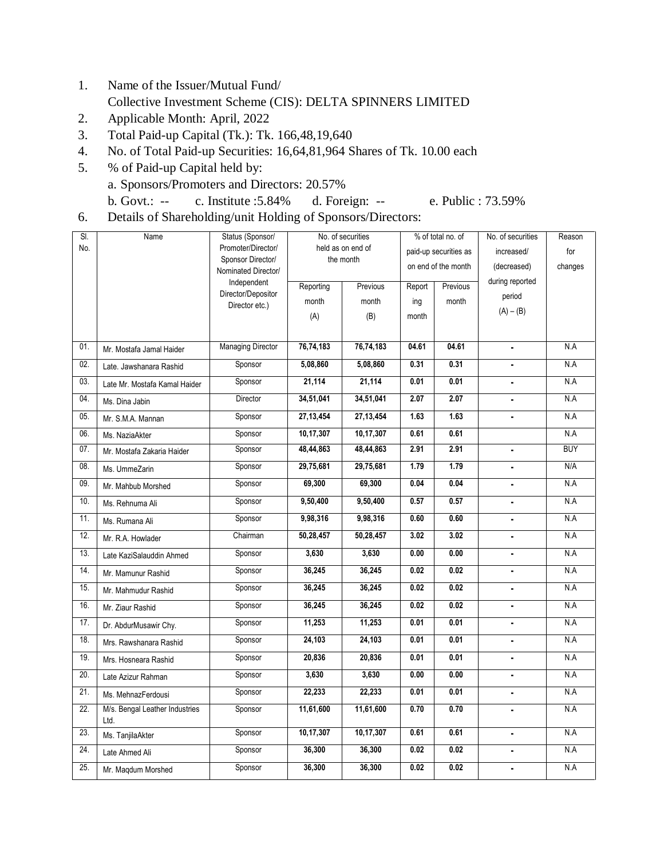- 1. Name of the Issuer/Mutual Fund/ Collective Investment Scheme (CIS): DELTA SPINNERS LIMITED
- 2. Applicable Month: April, 2022
- 3. Total Paid-up Capital (Tk.): Tk. 166,48,19,640
- 4. No. of Total Paid-up Securities: 16,64,81,964 Shares of Tk. 10.00 each
- 5. % of Paid-up Capital held by: a. Sponsors/Promoters and Directors: 20.57% b. Govt.: -- c. Institute :5.84% d. Foreign: -- e. Public : 73.59%
	-
- 6. Details of Shareholding/unit Holding of Sponsors/Directors:

| SI. | Name                                   | Status (Sponsor/                         | No. of securities |             | % of total no. of     |          | No. of securities | Reason     |
|-----|----------------------------------------|------------------------------------------|-------------------|-------------|-----------------------|----------|-------------------|------------|
| No. |                                        | Promoter/Director/                       | held as on end of |             | paid-up securities as |          | increased/        | for        |
|     |                                        | Sponsor Director/<br>Nominated Director/ | the month         |             | on end of the month   |          | (decreased)       | changes    |
|     |                                        | Independent                              | Reporting         | Previous    | Report                | Previous | during reported   |            |
|     |                                        | Director/Depositor                       | month             | month       | ing                   | month    | period            |            |
|     |                                        | Director etc.)                           |                   | (B)         |                       |          | $(A) - (B)$       |            |
|     |                                        |                                          | (A)               |             | month                 |          |                   |            |
| 01. | Mr. Mostafa Jamal Haider               | <b>Managing Director</b>                 | 76,74,183         | 76,74,183   | 04.61                 | 04.61    | $\blacksquare$    | N.A        |
| 02. | Late, Jawshanara Rashid                | Sponsor                                  | 5,08,860          | 5,08,860    | 0.31                  | 0.31     | ä,                | N.A        |
| 03. |                                        |                                          | 21,114            | 21,114      | 0.01                  | 0.01     |                   | N.A        |
|     | Late Mr. Mostafa Kamal Haider          | Sponsor                                  |                   |             |                       |          | $\blacksquare$    |            |
| 04. | Ms. Dina Jabin                         | Director                                 | 34,51,041         | 34,51,041   | 2.07                  | 2.07     | $\blacksquare$    | N.A        |
| 05. | Mr. S.M.A. Mannan                      | Sponsor                                  | 27, 13, 454       | 27, 13, 454 | 1.63                  | 1.63     | $\blacksquare$    | N.A        |
| 06. | Ms. NaziaAkter                         | Sponsor                                  | 10,17,307         | 10,17,307   | 0.61                  | 0.61     |                   | N.A        |
| 07. | Mr. Mostafa Zakaria Haider             | Sponsor                                  | 48,44,863         | 48,44,863   | 2.91                  | 2.91     | $\blacksquare$    | <b>BUY</b> |
| 08. | Ms. UmmeZarin                          | Sponsor                                  | 29,75,681         | 29,75,681   | 1.79                  | 1.79     | ä,                | N/A        |
| 09. | Mr. Mahbub Morshed                     | Sponsor                                  | 69,300            | 69,300      | 0.04                  | 0.04     |                   | N.A        |
| 10. | Ms. Rehnuma Ali                        | Sponsor                                  | 9,50,400          | 9,50,400    | 0.57                  | 0.57     | $\blacksquare$    | N.A        |
| 11. | Ms. Rumana Ali                         | Sponsor                                  | 9,98,316          | 9,98,316    | 0.60                  | 0.60     | $\blacksquare$    | N.A        |
| 12. | Mr. R.A. Howlader                      | Chairman                                 | 50,28,457         | 50,28,457   | 3.02                  | 3.02     | $\blacksquare$    | N.A        |
| 13. | Late KaziSalauddin Ahmed               | Sponsor                                  | 3,630             | 3,630       | 0.00                  | 0.00     | $\blacksquare$    | N.A        |
| 14. | Mr. Mamunur Rashid                     | Sponsor                                  | 36,245            | 36,245      | 0.02                  | 0.02     | $\blacksquare$    | N.A        |
| 15. | Mr. Mahmudur Rashid                    | Sponsor                                  | 36,245            | 36,245      | 0.02                  | 0.02     | $\blacksquare$    | N.A        |
| 16. | Mr. Ziaur Rashid                       | Sponsor                                  | 36,245            | 36,245      | 0.02                  | 0.02     | ÷.                | N.A        |
| 17. | Dr. AbdurMusawir Chy.                  | Sponsor                                  | 11,253            | 11,253      | 0.01                  | 0.01     | $\blacksquare$    | N.A        |
| 18. | Mrs. Rawshanara Rashid                 | Sponsor                                  | 24,103            | 24,103      | 0.01                  | 0.01     | $\blacksquare$    | N.A        |
| 19. | Mrs. Hosneara Rashid                   | Sponsor                                  | 20,836            | 20,836      | 0.01                  | 0.01     | $\blacksquare$    | N.A        |
| 20. | Late Azizur Rahman                     | Sponsor                                  | 3,630             | 3,630       | 0.00                  | 0.00     |                   | N.A        |
| 21. | Ms. MehnazFerdousi                     | Sponsor                                  | 22,233            | 22,233      | 0.01                  | 0.01     | $\blacksquare$    | N.A        |
| 22. | M/s. Bengal Leather Industries<br>Ltd. | Sponsor                                  | 11,61,600         | 11,61,600   | 0.70                  | 0.70     | $\blacksquare$    | N.A        |
| 23. | Ms. TanjilaAkter                       | Sponsor                                  | 10,17,307         | 10,17,307   | 0.61                  | 0.61     | $\blacksquare$    | N.A        |
| 24. | Late Ahmed Ali                         | Sponsor                                  | 36,300            | 36,300      | 0.02                  | 0.02     | $\blacksquare$    | N.A        |
| 25. | Mr. Magdum Morshed                     | Sponsor                                  | 36,300            | 36,300      | 0.02                  | 0.02     | $\blacksquare$    | N.A        |